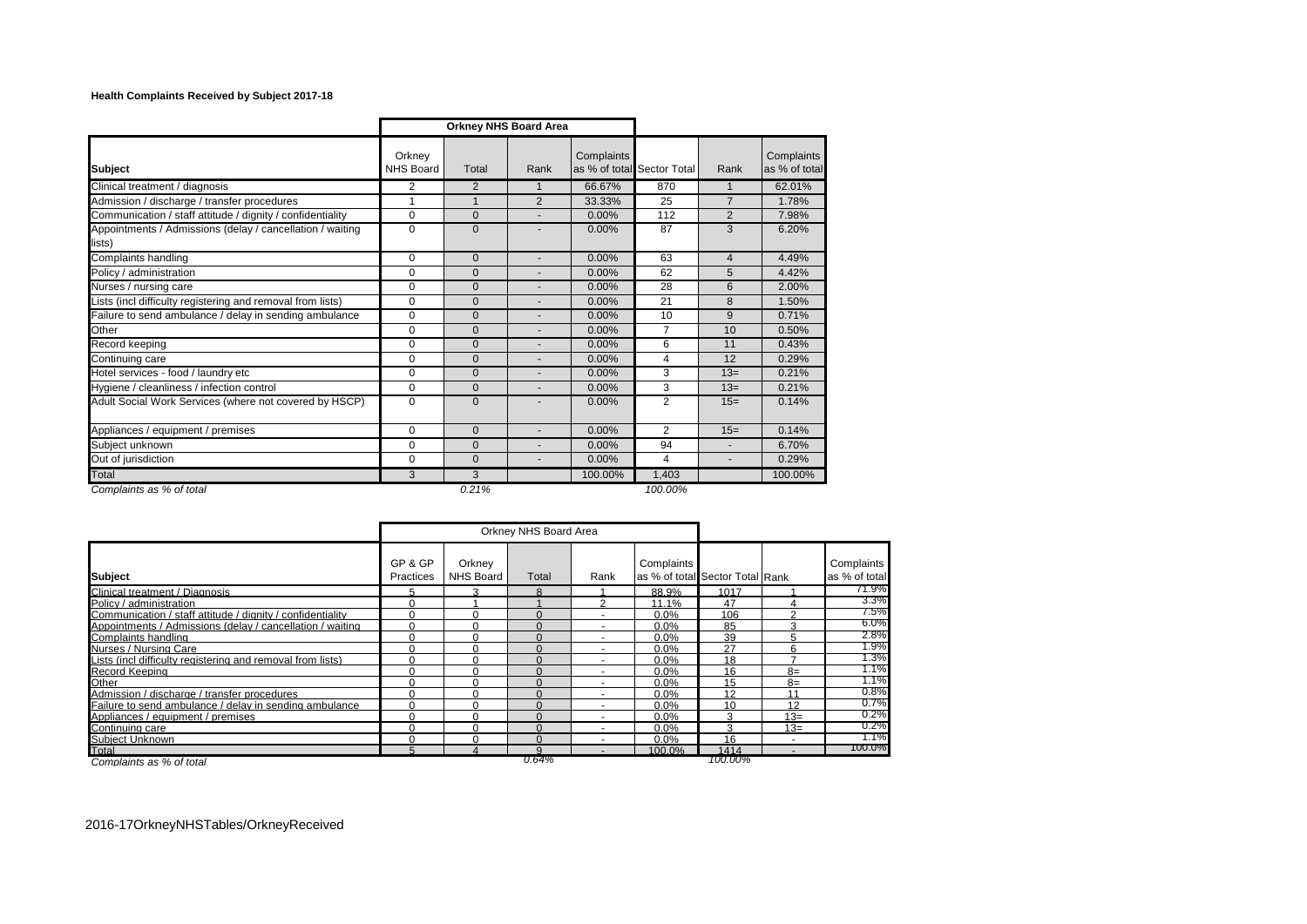## **Health Complaints Received by Subject 2017-18**

|                                                                     |                     |                | <b>Orkney NHS Board Area</b> |            |                            |                |                             |
|---------------------------------------------------------------------|---------------------|----------------|------------------------------|------------|----------------------------|----------------|-----------------------------|
| <b>Subject</b>                                                      | Orkney<br>NHS Board | Total          | Rank                         | Complaints | as % of total Sector Total | Rank           | Complaints<br>as % of total |
| Clinical treatment / diagnosis                                      | 2                   | 2              | $\mathbf{1}$                 | 66.67%     | 870                        |                | 62.01%                      |
| Admission / discharge / transfer procedures                         | 1                   | $\overline{1}$ | 2                            | 33.33%     | 25                         | $\overline{7}$ | 1.78%                       |
| Communication / staff attitude / dignity / confidentiality          | $\mathbf 0$         | $\mathbf{0}$   |                              | 0.00%      | 112                        | 2              | 7.98%                       |
| Appointments / Admissions (delay / cancellation / waiting<br>lists) | $\Omega$            | $\Omega$       |                              | 0.00%      | 87                         | 3              | 6.20%                       |
| Complaints handling                                                 | $\mathbf 0$         | $\mathbf{0}$   |                              | 0.00%      | 63                         | $\overline{4}$ | 4.49%                       |
| Policy / administration                                             | $\Omega$            | $\Omega$       |                              | 0.00%      | 62                         | 5              | 4.42%                       |
| Nurses / nursing care                                               | $\mathbf 0$         | $\mathbf{0}$   |                              | 0.00%      | 28                         | 6              | 2.00%                       |
| Lists (incl difficulty registering and removal from lists)          | $\Omega$            | $\Omega$       |                              | 0.00%      | 21                         | 8              | 1.50%                       |
| Failure to send ambulance / delay in sending ambulance              | 0                   | $\mathbf{0}$   |                              | 0.00%      | 10                         | 9              | 0.71%                       |
| Other                                                               | 0                   | $\mathbf{0}$   |                              | 0.00%      | 7                          | 10             | 0.50%                       |
| Record keeping                                                      | $\Omega$            | $\Omega$       |                              | 0.00%      | 6                          | 11             | 0.43%                       |
| Continuing care                                                     | $\Omega$            | $\Omega$       |                              | 0.00%      | 4                          | 12             | 0.29%                       |
| Hotel services - food / laundry etc                                 | $\Omega$            | $\Omega$       |                              | 0.00%      | 3                          | $13=$          | 0.21%                       |
| Hygiene / cleanliness / infection control                           | $\Omega$            | $\Omega$       |                              | 0.00%      | 3                          | $13=$          | 0.21%                       |
| Adult Social Work Services (where not covered by HSCP)              | $\Omega$            | $\Omega$       |                              | 0.00%      | 2                          | $15=$          | 0.14%                       |
| Appliances / equipment / premises                                   | $\mathbf 0$         | $\mathbf{0}$   |                              | 0.00%      | $\overline{2}$             | $15=$          | 0.14%                       |
| Subject unknown                                                     | $\Omega$            | $\Omega$       |                              | 0.00%      | 94                         |                | 6.70%                       |
| Out of jurisdiction                                                 | $\Omega$            | $\Omega$       | $\overline{\phantom{a}}$     | 0.00%      | 4                          |                | 0.29%                       |
| Total                                                               | 3                   | 3              |                              | 100.00%    | 1,403                      |                | 100.00%                     |
| Complaints as % of total                                            |                     | 0.21%          |                              |            | 100.00%                    |                |                             |

|                                                            |                      | Orkney NHS Board Area |       |      |            |                                 |       |                             |
|------------------------------------------------------------|----------------------|-----------------------|-------|------|------------|---------------------------------|-------|-----------------------------|
| <b>Subject</b>                                             | GP & GP<br>Practices | Orkney<br>NHS Board   | Total | Rank | Complaints | as % of total Sector Total Rank |       | Complaints<br>as % of total |
| Clinical treatment / Diagnosis                             | h                    |                       | R     |      | 88.9%      | 1017                            |       | 71.9%                       |
| Policy / administration                                    |                      |                       |       |      | 11.1%      | 47                              |       | 3.3%                        |
| Communication / staff attitude / dignity / confidentiality |                      |                       |       |      | 0.0%       | 106                             |       | 7.5%                        |
| Appointments / Admissions (delay / cancellation / waiting  |                      |                       |       |      | 0.0%       | 85                              |       | $6.0\%$                     |
| Complaints handling                                        |                      |                       |       |      | 0.0%       | 39                              |       | 2.8%                        |
| Nurses / Nursing Care                                      |                      |                       |       |      | 0.0%       | 27                              |       | 1.9%                        |
| Lists (incl difficulty registering and removal from lists) |                      | n                     | n     |      | 0.0%       | 18                              |       | 1.3%                        |
| Record Keeping                                             |                      |                       |       |      | 0.0%       | 16                              | $8=$  | 1.1%                        |
| Other                                                      |                      |                       |       |      | 0.0%       | 15                              | $8=$  | 1.1%                        |
| Admission / discharge / transfer procedures                |                      |                       |       |      | 0.0%       | 12                              | 11    | $0.8\%$                     |
| Failure to send ambulance / delay in sending ambulance     |                      |                       |       |      | 0.0%       | 10                              | 12    | $0.7\%$                     |
| Appliances / equipment / premises                          |                      |                       |       |      | 0.0%       |                                 | $13=$ | $0.2\%$                     |
| Continuing care                                            |                      |                       |       |      | 0.0%       | р                               | $13=$ | $0.2\%$                     |
| Subiect Unknown                                            |                      |                       |       |      | 0.0%       | 16                              |       | 1.1%                        |
| Total                                                      |                      |                       | ດ     |      | 100.0%     | 1414                            |       | 100.0%                      |
| Complaints as % of total                                   |                      |                       | 0.64% |      |            | 100.00%                         |       |                             |

2016-17OrkneyNHSTables/OrkneyReceived